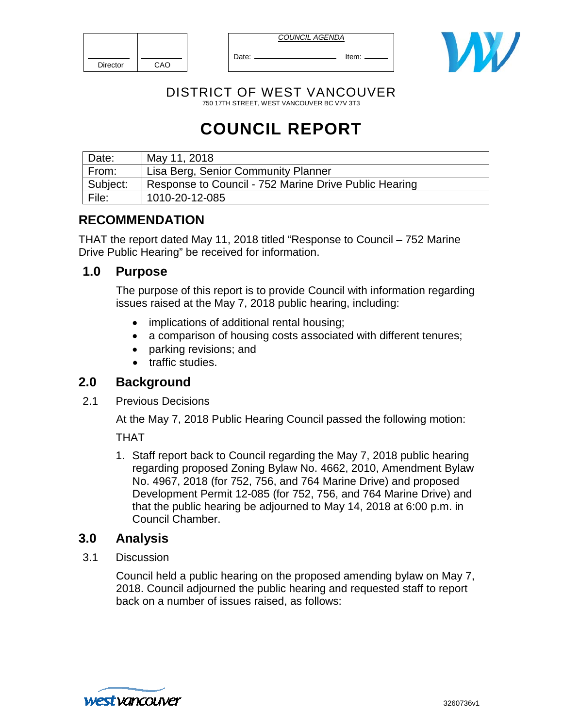| Director | CAO |
|----------|-----|

*COUNCIL AGENDA*

Date: \_\_\_\_\_\_\_\_\_\_\_\_\_\_\_\_\_\_\_\_\_\_\_\_\_\_\_\_\_\_\_\_\_\_ttem:



DISTRICT OF WEST VANCOUVER 750 17TH STREET, WEST VANCOUVER BC V7V 3T3

# **COUNCIL REPORT**

| Date:    | May 11, 2018                                          |
|----------|-------------------------------------------------------|
| From:    | Lisa Berg, Senior Community Planner                   |
| Subject: | Response to Council - 752 Marine Drive Public Hearing |
| File:    | 1010-20-12-085                                        |

# **RECOMMENDATION**

THAT the report dated May 11, 2018 titled "Response to Council – 752 Marine Drive Public Hearing" be received for information.

## **1.0 Purpose**

The purpose of this report is to provide Council with information regarding issues raised at the May 7, 2018 public hearing, including:

- implications of additional rental housing;
- a comparison of housing costs associated with different tenures;
- parking revisions; and
- traffic studies.

# **2.0 Background**

2.1 Previous Decisions

At the May 7, 2018 Public Hearing Council passed the following motion:

THAT

1. Staff report back to Council regarding the May 7, 2018 public hearing regarding proposed Zoning Bylaw No. 4662, 2010, Amendment Bylaw No. 4967, 2018 (for 752, 756, and 764 Marine Drive) and proposed Development Permit 12-085 (for 752, 756, and 764 Marine Drive) and that the public hearing be adjourned to May 14, 2018 at 6:00 p.m. in Council Chamber.

# **3.0 Analysis**

3.1 Discussion

Council held a public hearing on the proposed amending bylaw on May 7, 2018. Council adjourned the public hearing and requested staff to report back on a number of issues raised, as follows:

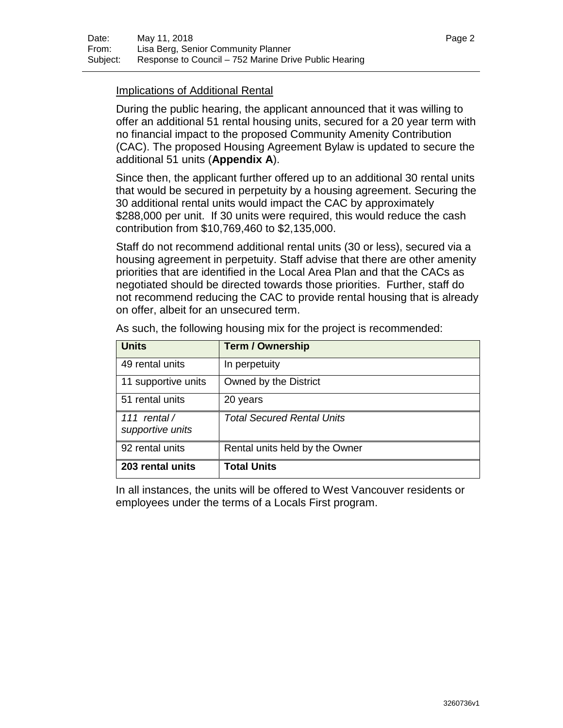#### Implications of Additional Rental

During the public hearing, the applicant announced that it was willing to offer an additional 51 rental housing units, secured for a 20 year term with no financial impact to the proposed Community Amenity Contribution (CAC). The proposed Housing Agreement Bylaw is updated to secure the additional 51 units (**Appendix A**).

Since then, the applicant further offered up to an additional 30 rental units that would be secured in perpetuity by a housing agreement. Securing the 30 additional rental units would impact the CAC by approximately \$288,000 per unit. If 30 units were required, this would reduce the cash contribution from \$10,769,460 to \$2,135,000.

Staff do not recommend additional rental units (30 or less), secured via a housing agreement in perpetuity. Staff advise that there are other amenity priorities that are identified in the Local Area Plan and that the CACs as negotiated should be directed towards those priorities. Further, staff do not recommend reducing the CAC to provide rental housing that is already on offer, albeit for an unsecured term.

| <b>Units</b>                       | <b>Term / Ownership</b>           |
|------------------------------------|-----------------------------------|
| 49 rental units                    | In perpetuity                     |
| 11 supportive units                | Owned by the District             |
| 51 rental units                    | 20 years                          |
| 111 rental $/$<br>supportive units | <b>Total Secured Rental Units</b> |
| 92 rental units                    | Rental units held by the Owner    |
| 203 rental units                   | <b>Total Units</b>                |

As such, the following housing mix for the project is recommended:

In all instances, the units will be offered to West Vancouver residents or employees under the terms of a Locals First program.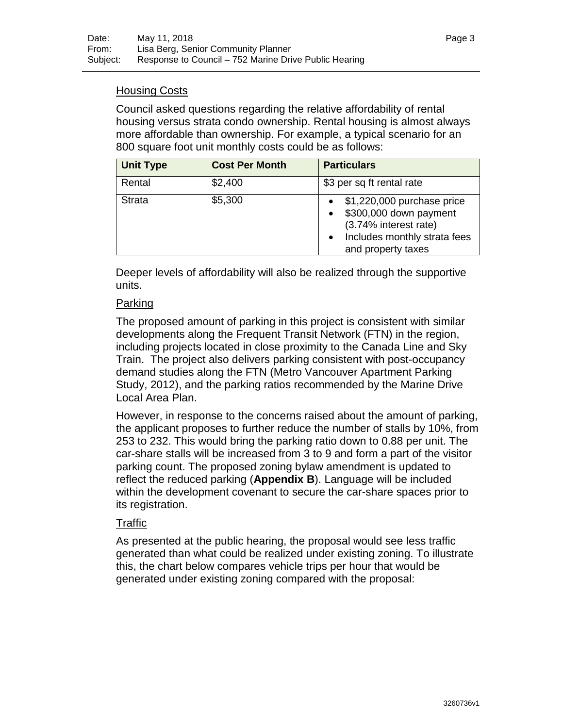#### Housing Costs

Council asked questions regarding the relative affordability of rental housing versus strata condo ownership. Rental housing is almost always more affordable than ownership. For example, a typical scenario for an 800 square foot unit monthly costs could be as follows:

| <b>Unit Type</b> | <b>Cost Per Month</b> | <b>Particulars</b>                                                                                                                  |
|------------------|-----------------------|-------------------------------------------------------------------------------------------------------------------------------------|
| Rental           | \$2,400               | \$3 per sq ft rental rate                                                                                                           |
| <b>Strata</b>    | \$5,300               | \$1,220,000 purchase price<br>\$300,000 down payment<br>(3.74% interest rate)<br>Includes monthly strata fees<br>and property taxes |

Deeper levels of affordability will also be realized through the supportive units.

#### Parking

The proposed amount of parking in this project is consistent with similar developments along the Frequent Transit Network (FTN) in the region, including projects located in close proximity to the Canada Line and Sky Train. The project also delivers parking consistent with post-occupancy demand studies along the FTN (Metro Vancouver Apartment Parking Study, 2012), and the parking ratios recommended by the Marine Drive Local Area Plan.

However, in response to the concerns raised about the amount of parking, the applicant proposes to further reduce the number of stalls by 10%, from 253 to 232. This would bring the parking ratio down to 0.88 per unit. The car-share stalls will be increased from 3 to 9 and form a part of the visitor parking count. The proposed zoning bylaw amendment is updated to reflect the reduced parking (**Appendix B**). Language will be included within the development covenant to secure the car-share spaces prior to its registration.

#### **Traffic**

As presented at the public hearing, the proposal would see less traffic generated than what could be realized under existing zoning. To illustrate this, the chart below compares vehicle trips per hour that would be generated under existing zoning compared with the proposal: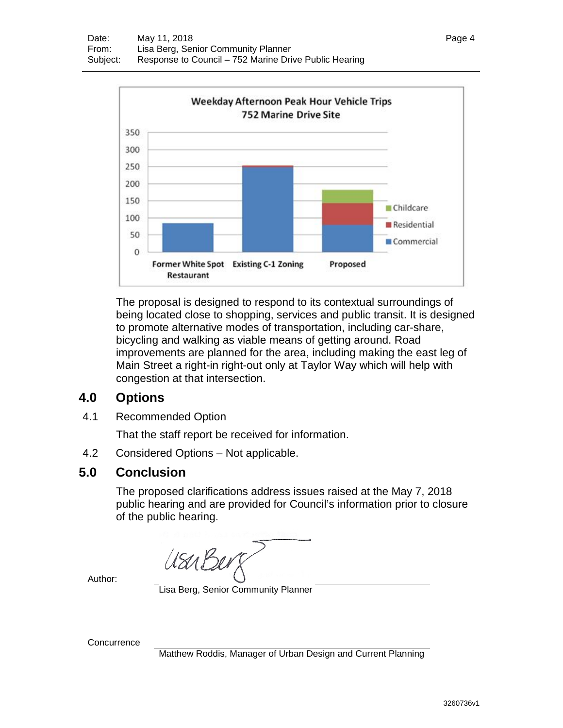

The proposal is designed to respond to its contextual surroundings of being located close to shopping, services and public transit. It is designed to promote alternative modes of transportation, including car-share, bicycling and walking as viable means of getting around. Road improvements are planned for the area, including making the east leg of Main Street a right-in right-out only at Taylor Way which will help with congestion at that intersection.

## **4.0 Options**

4.1 Recommended Option

That the staff report be received for information.

4.2 Considered Options – Not applicable.

## **5.0 Conclusion**

The proposed clarifications address issues raised at the May 7, 2018 public hearing and are provided for Council's information prior to closure of the public hearing.

UsuBer

Author:

Lisa Berg, Senior Community Planner

**Concurrence** 

Matthew Roddis, Manager of Urban Design and Current Planning